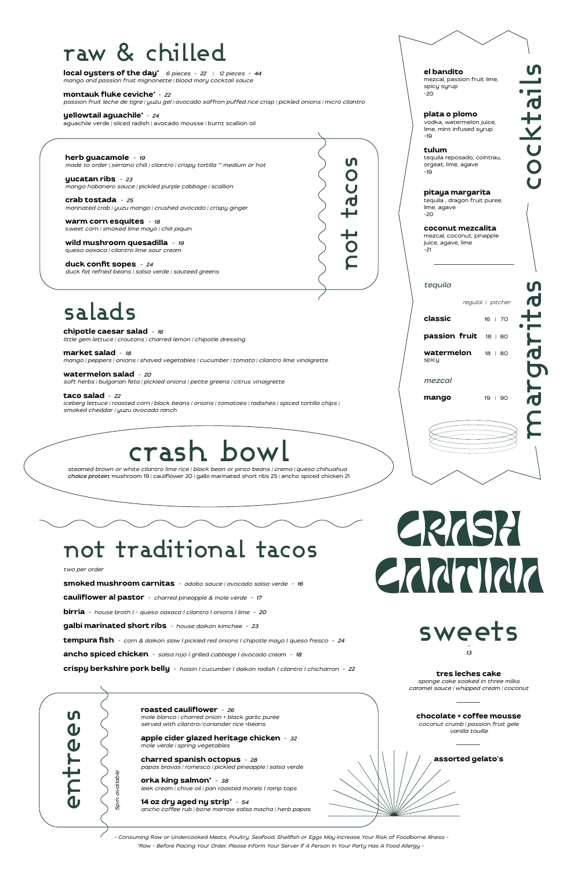cocktails

# margaritas argar

ocktai



#### **el bandito**

mezcal, passion fruit lime, spicy syrup ~20

#### **plata o plomo**

tequila , dragon fruit puree, lime, agave  $-20$ 

vodka, watermelon juice, lime, mint infused syrup ~19

| tequila                            |                   |  |
|------------------------------------|-------------------|--|
|                                    | regulal   pitcher |  |
| classic                            | 16   70           |  |
| passion fruit 18   80              |                   |  |
| <b>watermelon</b> 18   80<br>spicy |                   |  |
| mezcal                             |                   |  |
| mango                              | 19   90           |  |
|                                    |                   |  |

**tulum** tequila reposado, cointrau, orgeat, lime, agave ~19

#### **pitaya margarita**

**coconut mezcalita**  mezcal, coconut, pinapple juice, agave, lime ~21

# raw & chilled

**local oysters of the day\*** *6 pieces ~ 22* | *12 pieces ~ 44 mango and passion fruit mignonette | blood mary cocktail sauce*

**montauk fluke ceviche\*** *~ 22*

*passion fruit leche de tigre | yuzu gel | avocado saffron puffed rice crisp | pickled onions | micro cilantro*

#### **yellowtail aguachile\*** *~ 24* aguachile verde | sliced radish | avocado mousse | burnt scallion oil

**taco salad** *~ 22 iceberg lettuce | roasted corn | black beans | onions | tomatoes | radishes | spiced tortilla chips | smoked cheddar | yuzu avocado ranch* **choice protein:** mushroom 19 | cauliflower 20 | galbi marinated short ribs 25 | ancho spiced chicken 21<br> **choice protein:** more equities = -18<br> **contracted cross proteiners** and a set of the proteiners of the margin child

**herb guacamole** *~ 19 made to order | serrano chili | cilantro | crispy tortilla \*\* medium or hot*

**yucatan ribs** *~ 23 mango habanero sauce | pickled purple cabbage | scallion*

**crab tostada** *~ 25 marinated crab | yuzu mango | crushed avocado | crispy ginger*

**warm corn esquites** *~ 18* s*weet corn | smoked lime mayo | chili piquin*

**wild mushroom quesadilla** *~ 19* q*ueso oaxaca | cilantro lime sour cream*

**duck confit sopes** *~ 24 duck fat refried beans | salsa verde | sauteed greens*

## salads

**chipotle caesar salad** *~ 16 little gem lettuce | croutons | charred lemon | chipotle dressing*

**market salad** *~ 18 mango | peppers | onions | shaved vegetables | cucumber | tomato | cilantro lime vinaigrette*

**watermelon salad** *~ 20 soft herbs | bulgarian feta | pickled onions | petite greens | citrus vinaigrette*



#### *two per order*

**smoked mushroom carnitas** *~ adobo sauce | avocado salsa verde ~ 16*

**cauliflower al pastor** *~ charred pineapple & mole verde ~ 17*

**birria** *~ house broth l - queso oaxaca l cilantro l onions l lime ~ 20*

**galbi marinated short ribs** *~ house daikon kimchee ~ 23*

**tempura fish** *~ corn & daikon slaw l pickled red onions l chipotle mayo l queso fresco ~ 24*

**ancho spiced chicken** *~ salsa rojo l grilled cabbage l avocado cream ~ 18*

**crispy berkshire pork belly** *~ hoisin l cucumber l daikon radish l cilantro l chicharron ~ 22*

**roasted cauliflower** *~ 26 mole blanco | charred onion + black garlic purée served with cilantro/coriander rice +beans*

**apple cider glazed heritage chicken** *~ 32 mole verde | spring vegetables*

**charred spanish octopus** *~ 28 papas bravas | romesco | pickled pineapple | salsa verde*

**orka king salmon\*** *~ 38 leek cream | chive oil | pan roasted morels l ramp tops*

**14 oz dry aged ny strip\*** *~ 54 ancho coffee rub | bone marrow salsa macha | herb papas*

# crash bowl

*steamed brown or white cilantro lime rice | black bean or pinto beans | crema | queso chihuahua*



#### **tres leches cake**

*sponge cake soaked in three milks caramel sauce | whipped cream | coconut* 

#### **chocolate + coffee mousse**

*coconut crumb | passion fruit gele vanilla touille* 





*~ Consuming Raw or Undercooked Meats, Poultry, Seafood, Shellfish or Eggs May Increase Your Risk of Foodborne Illness ~ \*Raw ~ Before Placing Your Order, Please Inform Your Server If A Person In Your Party Has A Food Allergy ~*